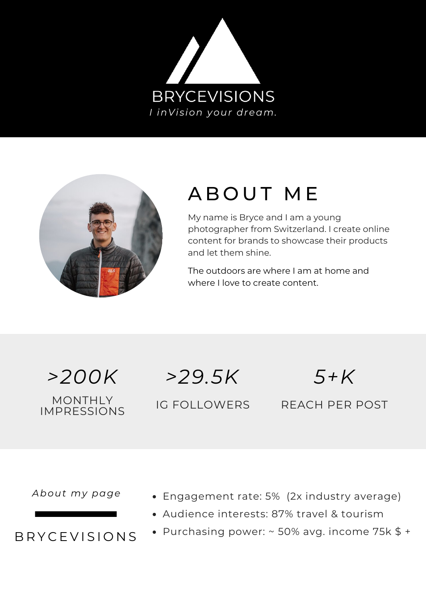



# A B O U T M E

My name is Bryce and I am a young photographer from Switzerland. I create online content for brands to showcase their products and let them shine.

The outdoors are where I am at home and where I love to create content.

MONTHLY IMPRESSIONS

*>200K >29.5K 5+K*

IG FOLLOWERS REACH PER POST

*About my page*

B R Y C E V I S I O N S

- Engagement rate: 5% (2x industry average)
- Audience interests: 87% travel & tourism
- Purchasing power:  $\sim$  50% avg. income 75k \$ +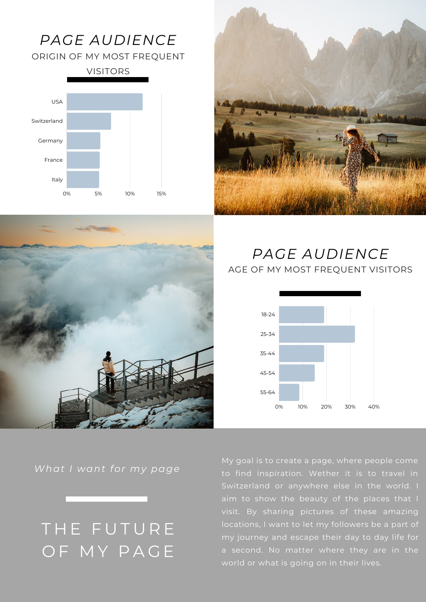### *PAGE AUDIENCE*

ORIGIN OF MY MOST FREQUENT







#### *PAGE AUDIENCE* AGE OF MY MOST FREQUENT VISITORS



*What I want for my page*

## THE FUTURE OF MY PAGE

My goal is to create a page, where people come to find inspiration. Wether it is to travel in Switzerland or anywhere else in the world. I visit. By sharing pictures of these amazing locations, I want to let my followers be a part of my journey and escape their day to day life for a second. No matter where they are in the world or what is going on in their lives.